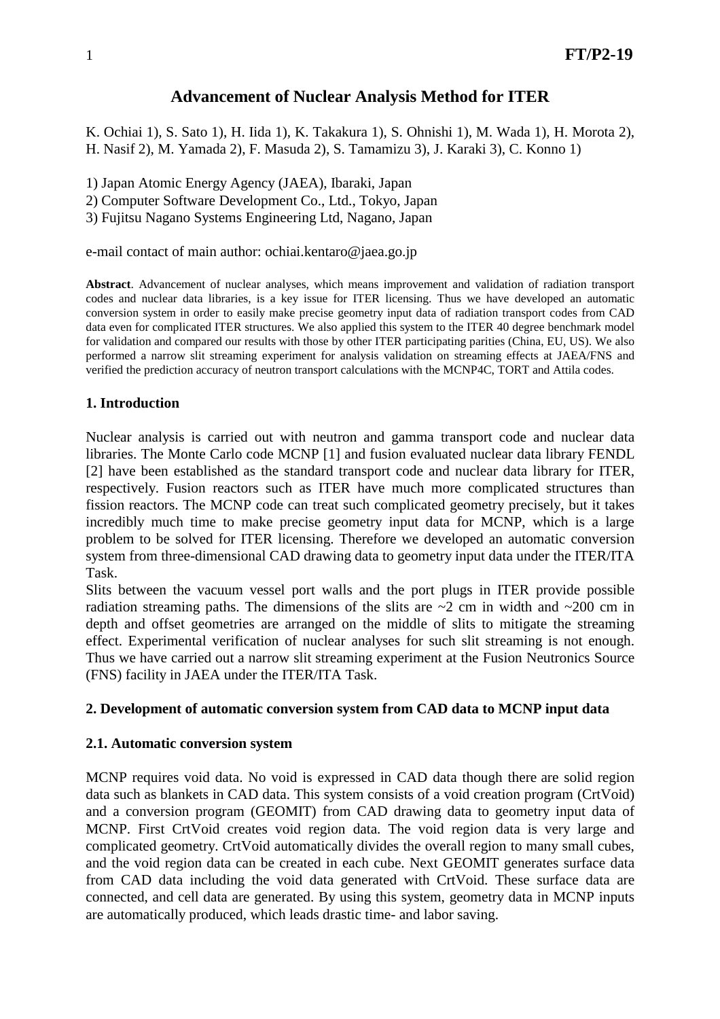# **Advancement of Nuclear Analysis Method for ITER**

K. Ochiai 1), S. Sato 1), H. Iida 1), K. Takakura 1), S. Ohnishi 1), M. Wada 1), H. Morota 2), H. Nasif 2), M. Yamada 2), F. Masuda 2), S. Tamamizu 3), J. Karaki 3), C. Konno 1)

1) Japan Atomic Energy Agency (JAEA), Ibaraki, Japan

2) Computer Software Development Co., Ltd., Tokyo, Japan

3) Fujitsu Nagano Systems Engineering Ltd, Nagano, Japan

e-mail contact of main author: ochiai.kentaro@jaea.go.jp

**Abstract**. Advancement of nuclear analyses, which means improvement and validation of radiation transport codes and nuclear data libraries, is a key issue for ITER licensing. Thus we have developed an automatic conversion system in order to easily make precise geometry input data of radiation transport codes from CAD data even for complicated ITER structures. We also applied this system to the ITER 40 degree benchmark model for validation and compared our results with those by other ITER participating parities (China, EU, US). We also performed a narrow slit streaming experiment for analysis validation on streaming effects at JAEA/FNS and verified the prediction accuracy of neutron transport calculations with the MCNP4C, TORT and Attila codes.

## **1. Introduction**

Nuclear analysis is carried out with neutron and gamma transport code and nuclear data libraries. The Monte Carlo code MCNP [1] and fusion evaluated nuclear data library FENDL [2] have been established as the standard transport code and nuclear data library for ITER, respectively. Fusion reactors such as ITER have much more complicated structures than fission reactors. The MCNP code can treat such complicated geometry precisely, but it takes incredibly much time to make precise geometry input data for MCNP, which is a large problem to be solved for ITER licensing. Therefore we developed an automatic conversion system from three-dimensional CAD drawing data to geometry input data under the ITER/ITA Task.

Slits between the vacuum vessel port walls and the port plugs in ITER provide possible radiation streaming paths. The dimensions of the slits are  $\sim$ 2 cm in width and  $\sim$ 200 cm in depth and offset geometries are arranged on the middle of slits to mitigate the streaming effect. Experimental verification of nuclear analyses for such slit streaming is not enough. Thus we have carried out a narrow slit streaming experiment at the Fusion Neutronics Source (FNS) facility in JAEA under the ITER/ITA Task.

#### **2. Development of automatic conversion system from CAD data to MCNP input data**

#### **2.1. Automatic conversion system**

MCNP requires void data. No void is expressed in CAD data though there are solid region data such as blankets in CAD data. This system consists of a void creation program (CrtVoid) and a conversion program (GEOMIT) from CAD drawing data to geometry input data of MCNP. First CrtVoid creates void region data. The void region data is very large and complicated geometry. CrtVoid automatically divides the overall region to many small cubes, and the void region data can be created in each cube. Next GEOMIT generates surface data from CAD data including the void data generated with CrtVoid. These surface data are connected, and cell data are generated. By using this system, geometry data in MCNP inputs are automatically produced, which leads drastic time- and labor saving.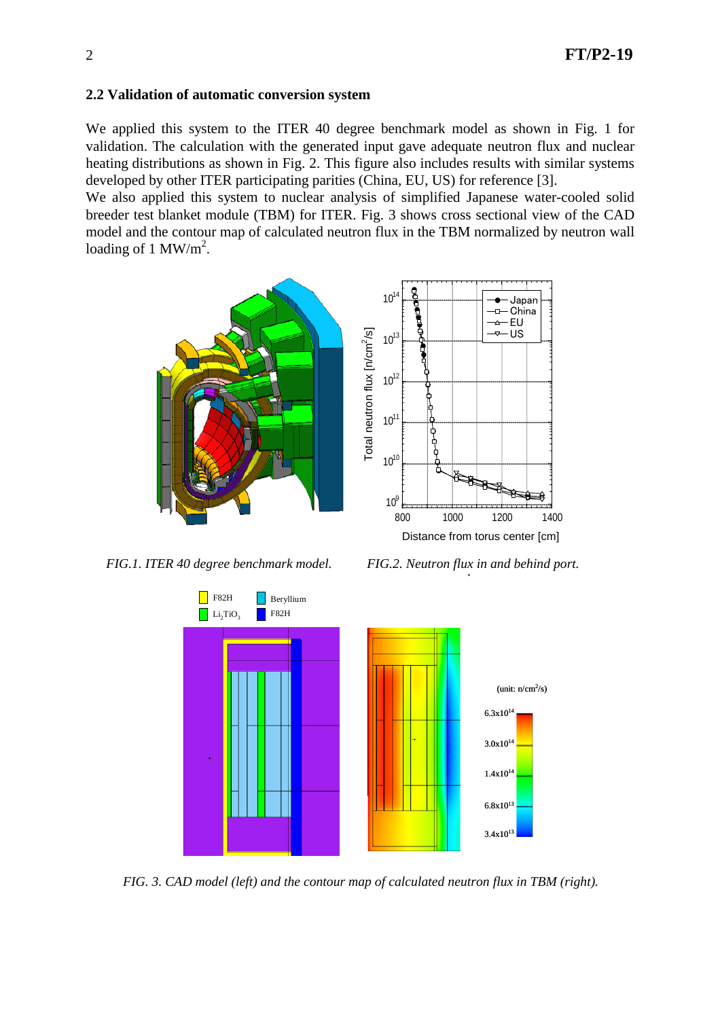### **2.2 Validation of automatic conversion system**

We applied this system to the ITER 40 degree benchmark model as shown in Fig. 1 for validation. The calculation with the generated input gave adequate neutron flux and nuclear heating distributions as shown in Fig. 2. This figure also includes results with similar systems developed by other ITER participating parities (China, EU, US) for reference [3].

We also applied this system to nuclear analysis of simplified Japanese water-cooled solid breeder test blanket module (TBM) for ITER. Fig. 3 shows cross sectional view of the CAD model and the contour map of calculated neutron flux in the TBM normalized by neutron wall loading of 1 MW/m<sup>2</sup>.



*FIG.1. ITER 40 degree benchmark model. FIG.2. Neutron flux in and behind port.* 





*FIG. 3. CAD model (left) and the contour map of calculated neutron flux in TBM (right).*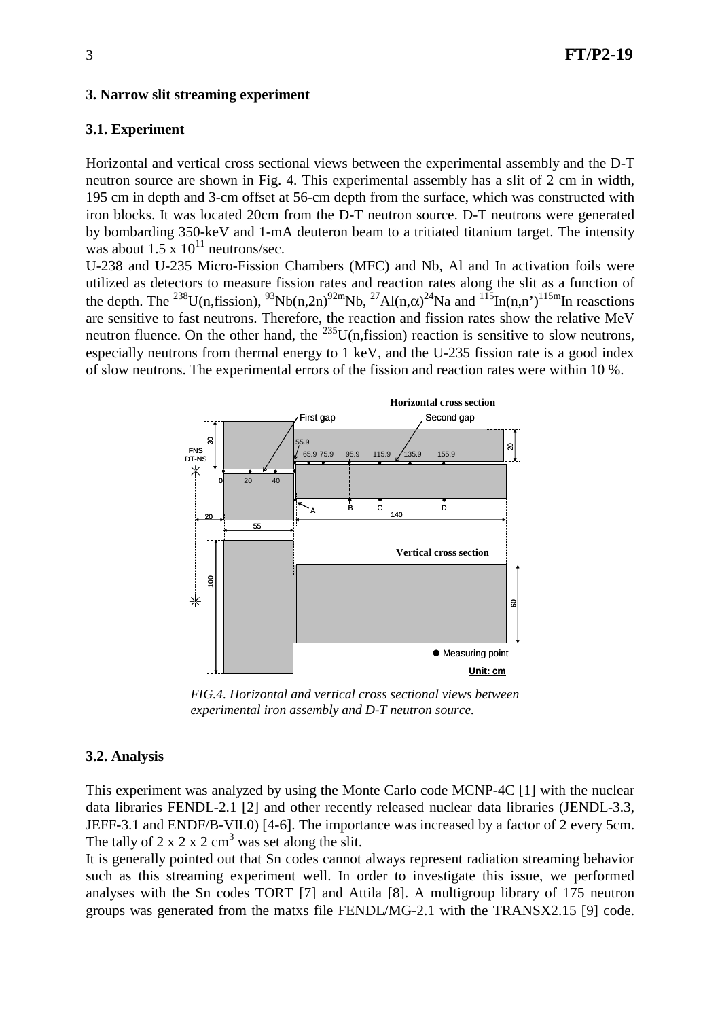### **3. Narrow slit streaming experiment**

### **3.1. Experiment**

Horizontal and vertical cross sectional views between the experimental assembly and the D-T neutron source are shown in Fig. 4. This experimental assembly has a slit of 2 cm in width, 195 cm in depth and 3-cm offset at 56-cm depth from the surface, which was constructed with iron blocks. It was located 20cm from the D-T neutron source. D-T neutrons were generated by bombarding 350-keV and 1-mA deuteron beam to a tritiated titanium target. The intensity was about  $1.5 \times 10^{11}$  neutrons/sec.

U-238 and U-235 Micro-Fission Chambers (MFC) and Nb, Al and In activation foils were utilized as detectors to measure fission rates and reaction rates along the slit as a function of the depth. The <sup>238</sup>U(n,fission), <sup>93</sup>Nb(n,2n)<sup>92m</sup>Nb, <sup>27</sup>Al(n, $\alpha$ )<sup>24</sup>Na and <sup>115</sup>In(n,n<sup>'</sup>)<sup>115m</sup>In reasctions are sensitive to fast neutrons. Therefore, the reaction and fission rates show the relative MeV neutron fluence. On the other hand, the  $^{235}$ U(n,fission) reaction is sensitive to slow neutrons, especially neutrons from thermal energy to 1 keV, and the U-235 fission rate is a good index of slow neutrons. The experimental errors of the fission and reaction rates were within 10 %.



*FIG.4. Horizontal and vertical cross sectional views between experimental iron assembly and D-T neutron source.* 

## **3.2. Analysis**

This experiment was analyzed by using the Monte Carlo code MCNP-4C [1] with the nuclear data libraries FENDL-2.1 [2] and other recently released nuclear data libraries (JENDL-3.3, JEFF-3.1 and ENDF/B-VII.0) [4-6]. The importance was increased by a factor of 2 every 5cm. The tally of  $2 \times 2 \times 2$  cm<sup>3</sup> was set along the slit.

It is generally pointed out that Sn codes cannot always represent radiation streaming behavior such as this streaming experiment well. In order to investigate this issue, we performed analyses with the Sn codes TORT [7] and Attila [8]. A multigroup library of 175 neutron groups was generated from the matxs file FENDL/MG-2.1 with the TRANSX2.15 [9] code.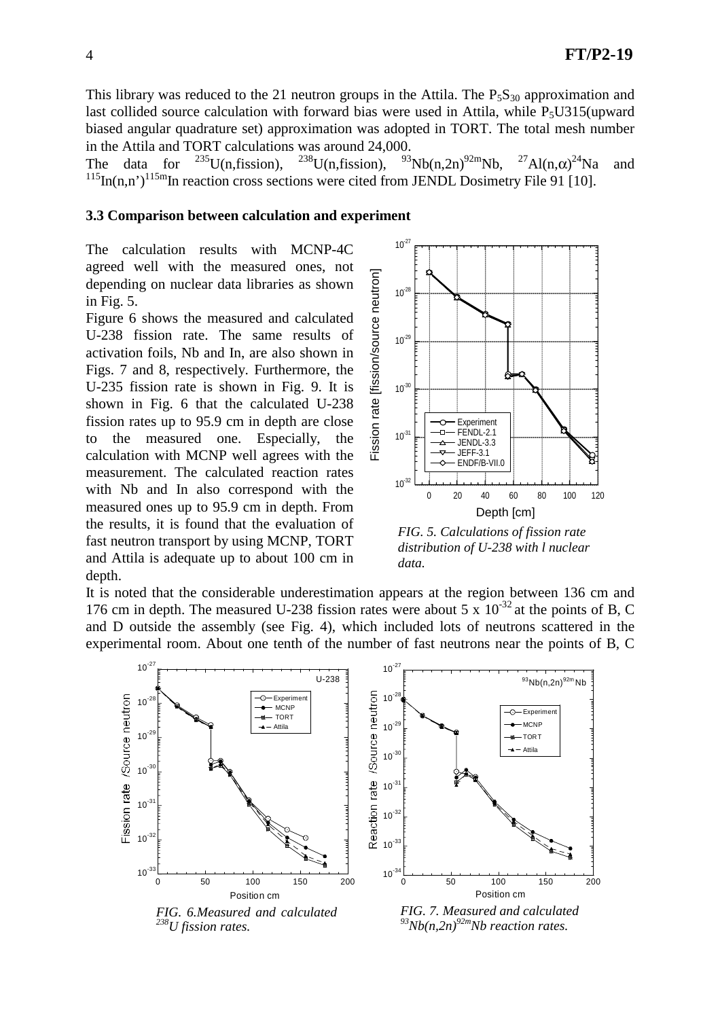This library was reduced to the 21 neutron groups in the Attila. The  $P_5S_{30}$  approximation and last collided source calculation with forward bias were used in Attila, while  $P<sub>5</sub>U315$ (upward biased angular quadrature set) approximation was adopted in TORT. The total mesh number in the Attila and TORT calculations was around 24,000.

The data for  $^{235}U(n,fission)$ ,  $^{238}U(n,fission)$ ,  $^{93}Nb(n,2n)^{92m}Nb$ , <sup>27</sup>Al(n, $\alpha$ )<sup>24</sup>Na and  $115$ In(n,n')<sup>115m</sup>In reaction cross sections were cited from JENDL Dosimetry File 91 [10].

#### **3.3 Comparison between calculation and experiment**

The calculation results with MCNP-4C agreed well with the measured ones, not depending on nuclear data libraries as shown in Fig. 5.

Figure 6 shows the measured and calculated U-238 fission rate. The same results of activation foils, Nb and In, are also shown in Figs. 7 and 8, respectively. Furthermore, the U-235 fission rate is shown in Fig. 9. It is shown in Fig. 6 that the calculated U-238 fission rates up to 95.9 cm in depth are close to the measured one. Especially, the calculation with MCNP well agrees with the measurement. The calculated reaction rates with Nb and In also correspond with the measured ones up to 95.9 cm in depth. From the results, it is found that the evaluation of fast neutron transport by using MCNP, TORT and Attila is adequate up to about 100 cm in depth.



*FIG. 5. Calculations of fission rate distribution of U-238 with l nuclear data.*

It is noted that the considerable underestimation appears at the region between 136 cm and 176 cm in depth. The measured U-238 fission rates were about 5 x  $10^{-32}$  at the points of B, C and D outside the assembly (see Fig. 4), which included lots of neutrons scattered in the experimental room. About one tenth of the number of fast neutrons near the points of B, C

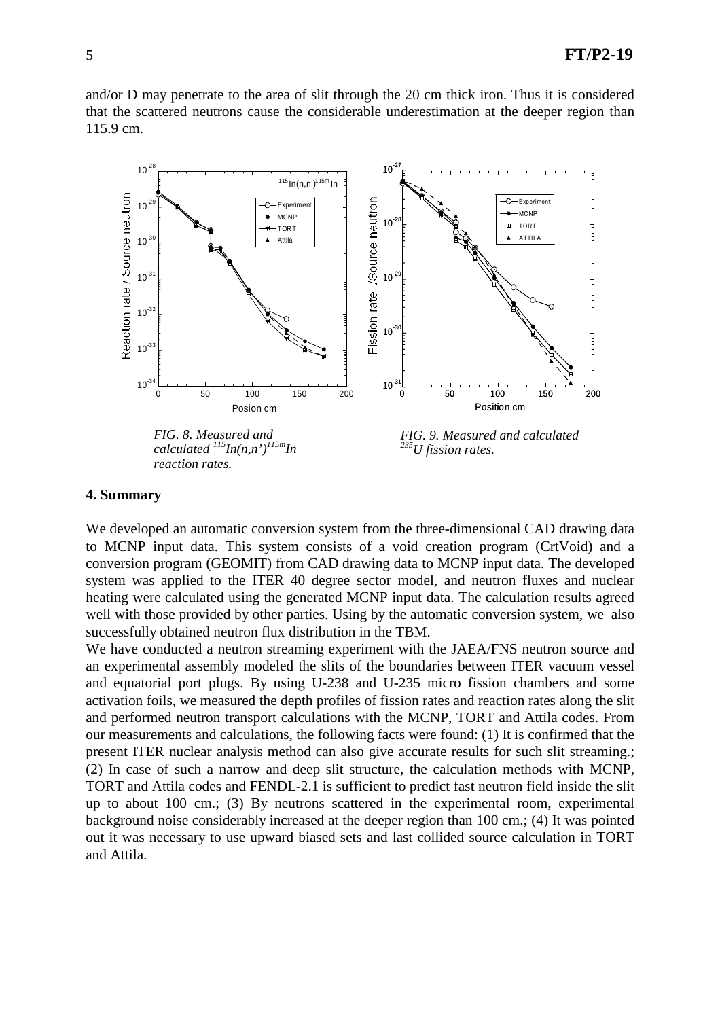and/or D may penetrate to the area of slit through the 20 cm thick iron. Thus it is considered that the scattered neutrons cause the considerable underestimation at the deeper region than 115.9 cm.



#### **4. Summary**

We developed an automatic conversion system from the three-dimensional CAD drawing data to MCNP input data. This system consists of a void creation program (CrtVoid) and a conversion program (GEOMIT) from CAD drawing data to MCNP input data. The developed system was applied to the ITER 40 degree sector model, and neutron fluxes and nuclear heating were calculated using the generated MCNP input data. The calculation results agreed well with those provided by other parties. Using by the automatic conversion system, we also successfully obtained neutron flux distribution in the TBM.

We have conducted a neutron streaming experiment with the JAEA/FNS neutron source and an experimental assembly modeled the slits of the boundaries between ITER vacuum vessel and equatorial port plugs. By using U-238 and U-235 micro fission chambers and some activation foils, we measured the depth profiles of fission rates and reaction rates along the slit and performed neutron transport calculations with the MCNP, TORT and Attila codes. From our measurements and calculations, the following facts were found: (1) It is confirmed that the present ITER nuclear analysis method can also give accurate results for such slit streaming.; (2) In case of such a narrow and deep slit structure, the calculation methods with MCNP, TORT and Attila codes and FENDL-2.1 is sufficient to predict fast neutron field inside the slit up to about 100 cm.; (3) By neutrons scattered in the experimental room, experimental background noise considerably increased at the deeper region than 100 cm.; (4) It was pointed out it was necessary to use upward biased sets and last collided source calculation in TORT and Attila.